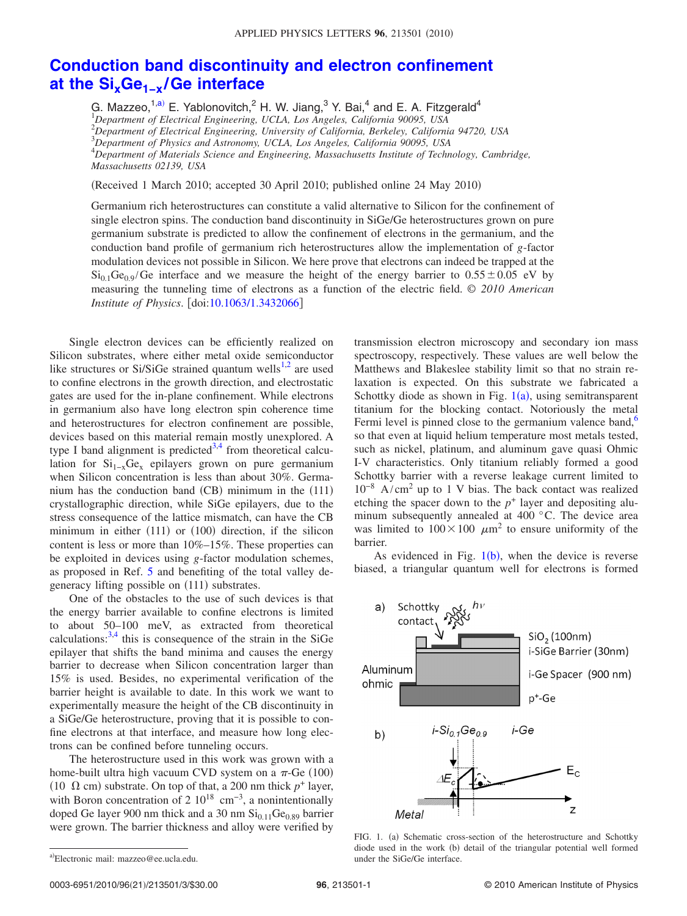## **[Conduction band discontinuity and electron confinement](http://dx.doi.org/10.1063/1.3432066) [at the SixGe1−x](http://dx.doi.org/10.1063/1.3432066) /Ge interface**

G. Mazzeo,<sup>1[,a](#page-0-0))</sup> E. Yablonovitch,<sup>2</sup> H. W. Jiang,<sup>3</sup> Y. Bai,<sup>4</sup> and E. A. Fitzgerald<sup>4</sup> *Department of Electrical Engineering, UCLA, Los Angeles, California 90095, USA Department of Electrical Engineering, University of California, Berkeley, California 94720, USA Department of Physics and Astronomy, UCLA, Los Angeles, California 90095, USA Department of Materials Science and Engineering, Massachusetts Institute of Technology, Cambridge, Massachusetts 02139, USA*

(Received 1 March 2010; accepted 30 April 2010; published online 24 May 2010)

Germanium rich heterostructures can constitute a valid alternative to Silicon for the confinement of single electron spins. The conduction band discontinuity in SiGe/Ge heterostructures grown on pure germanium substrate is predicted to allow the confinement of electrons in the germanium, and the conduction band profile of germanium rich heterostructures allow the implementation of *g*-factor modulation devices not possible in Silicon. We here prove that electrons can indeed be trapped at the  $Si<sub>0.1</sub>Ge<sub>0.9</sub>/Ge$  interface and we measure the height of the energy barrier to  $0.55 \pm 0.05$  eV by measuring the tunneling time of electrons as a function of the electric field. © *2010 American Institute of Physics.* [doi[:10.1063/1.3432066](http://dx.doi.org/10.1063/1.3432066)]

Single electron devices can be efficiently realized on Silicon substrates, where either metal oxide semiconductor like structures or Si/SiGe strained quantum wells<sup>1[,2](#page-2-1)</sup> are used to confine electrons in the growth direction, and electrostatic gates are used for the in-plane confinement. While electrons in germanium also have long electron spin coherence time and heterostructures for electron confinement are possible, devices based on this material remain mostly unexplored. A type I band alignment is predicted<sup>3,[4](#page-2-3)</sup> from theoretical calculation for  $Si_{1-x}Ge_x$  epilayers grown on pure germanium when Silicon concentration is less than about 30%. Germanium has the conduction band  $(CB)$  minimum in the  $(111)$ crystallographic direction, while SiGe epilayers, due to the stress consequence of the lattice mismatch, can have the CB minimum in either (111) or (100) direction, if the silicon content is less or more than 10%–15%. These properties can be exploited in devices using *g*-factor modulation schemes, as proposed in Ref. [5](#page-2-4) and benefiting of the total valley degeneracy lifting possible on (111) substrates.

One of the obstacles to the use of such devices is that the energy barrier available to confine electrons is limited to about 50–100 meV, as extracted from theoretical calculations: $3,4$  $3,4$  this is consequence of the strain in the SiGe epilayer that shifts the band minima and causes the energy barrier to decrease when Silicon concentration larger than 15% is used. Besides, no experimental verification of the barrier height is available to date. In this work we want to experimentally measure the height of the CB discontinuity in a SiGe/Ge heterostructure, proving that it is possible to confine electrons at that interface, and measure how long electrons can be confined before tunneling occurs.

<span id="page-0-0"></span>The heterostructure used in this work was grown with a home-built ultra high vacuum CVD system on a  $\pi$ -Ge (100) (10  $\Omega$  cm) substrate. On top of that, a 200 nm thick  $p^+$  layer, with Boron concentration of 2  $10^{18}$  cm<sup>-3</sup>, a nonintentionally doped Ge layer 900 nm thick and a 30 nm  $Si<sub>0.11</sub>Ge<sub>0.89</sub>$  barrier were grown. The barrier thickness and alloy were verified by

transmission electron microscopy and secondary ion mass spectroscopy, respectively. These values are well below the Matthews and Blakeslee stability limit so that no strain relaxation is expected. On this substrate we fabricated a Schottky diode as shown in Fig.  $1(a)$  $1(a)$ , using semitransparent titanium for the blocking contact. Notoriously the metal Fermi level is pinned close to the germanium valence band, $6$ so that even at liquid helium temperature most metals tested, such as nickel, platinum, and aluminum gave quasi Ohmic I-V characteristics. Only titanium reliably formed a good Schottky barrier with a reverse leakage current limited to  $10^{-8}$  A/cm<sup>2</sup> up to 1 V bias. The back contact was realized etching the spacer down to the  $p^+$  layer and depositing aluminum subsequently annealed at 400 °C. The device area was limited to  $100 \times 100 \mu m^2$  to ensure uniformity of the barrier.

<span id="page-0-1"></span>As evidenced in Fig.  $1(b)$  $1(b)$ , when the device is reverse biased, a triangular quantum well for electrons is formed



FIG. 1. (a) Schematic cross-section of the heterostructure and Schottky diode used in the work (b) detail of the triangular potential well formed under the SiGe/Ge interface.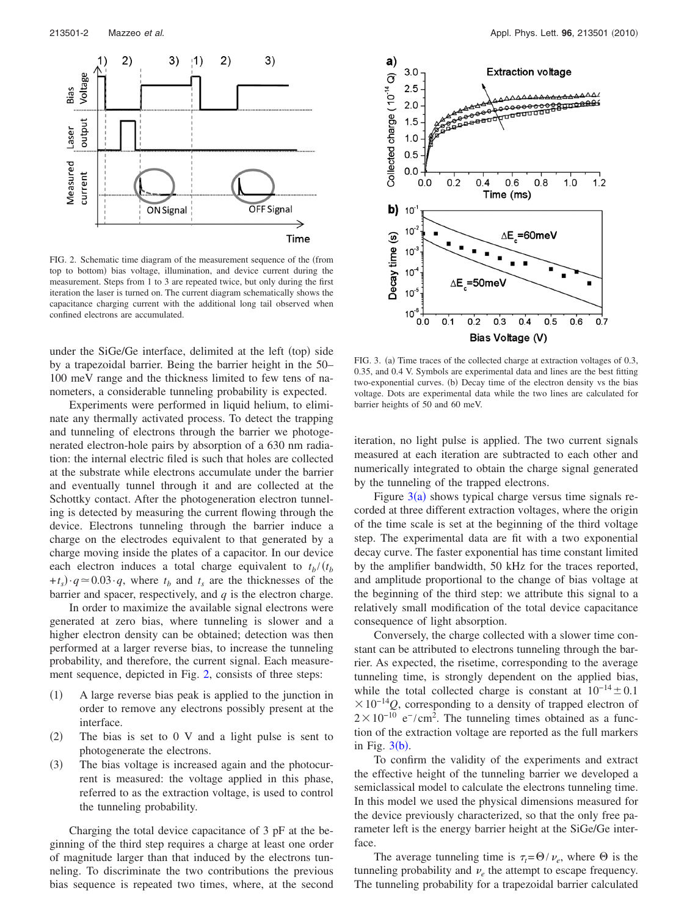<span id="page-1-0"></span>

FIG. 2. Schematic time diagram of the measurement sequence of the (from top to bottom) bias voltage, illumination, and device current during the measurement. Steps from 1 to 3 are repeated twice, but only during the first iteration the laser is turned on. The current diagram schematically shows the capacitance charging current with the additional long tail observed when confined electrons are accumulated.

under the SiGe/Ge interface, delimited at the left (top) side by a trapezoidal barrier. Being the barrier height in the 50– 100 meV range and the thickness limited to few tens of nanometers, a considerable tunneling probability is expected.

Experiments were performed in liquid helium, to eliminate any thermally activated process. To detect the trapping and tunneling of electrons through the barrier we photogenerated electron-hole pairs by absorption of a 630 nm radiation: the internal electric filed is such that holes are collected at the substrate while electrons accumulate under the barrier and eventually tunnel through it and are collected at the Schottky contact. After the photogeneration electron tunneling is detected by measuring the current flowing through the device. Electrons tunneling through the barrier induce a charge on the electrodes equivalent to that generated by a charge moving inside the plates of a capacitor. In our device each electron induces a total charge equivalent to  $t_b/(t_b)$  $+t_s$  $\cdot q \approx 0.03 \cdot q$ , where  $t_b$  and  $t_s$  are the thicknesses of the barrier and spacer, respectively, and *q* is the electron charge.

In order to maximize the available signal electrons were generated at zero bias, where tunneling is slower and a higher electron density can be obtained; detection was then performed at a larger reverse bias, to increase the tunneling probability, and therefore, the current signal. Each measurement sequence, depicted in Fig. [2,](#page-1-0) consists of three steps:

- $(1)$ 1 A large reverse bias peak is applied to the junction in order to remove any electrons possibly present at the interface.
- $(2)$ The bias is set to  $0 \nabla$  and a light pulse is sent to photogenerate the electrons.
- $(3)$ The bias voltage is increased again and the photocurrent is measured: the voltage applied in this phase, referred to as the extraction voltage, is used to control the tunneling probability.

Charging the total device capacitance of 3 pF at the beginning of the third step requires a charge at least one order of magnitude larger than that induced by the electrons tunneling. To discriminate the two contributions the previous bias sequence is repeated two times, where, at the second

<span id="page-1-1"></span>

FIG. 3. (a) Time traces of the collected charge at extraction voltages of 0.3, 0.35, and 0.4 V. Symbols are experimental data and lines are the best fitting two-exponential curves. (b) Decay time of the electron density vs the bias voltage. Dots are experimental data while the two lines are calculated for barrier heights of 50 and 60 meV.

iteration, no light pulse is applied. The two current signals measured at each iteration are subtracted to each other and numerically integrated to obtain the charge signal generated by the tunneling of the trapped electrons.

Figure  $3(a)$  $3(a)$  shows typical charge versus time signals recorded at three different extraction voltages, where the origin of the time scale is set at the beginning of the third voltage step. The experimental data are fit with a two exponential decay curve. The faster exponential has time constant limited by the amplifier bandwidth, 50 kHz for the traces reported, and amplitude proportional to the change of bias voltage at the beginning of the third step: we attribute this signal to a relatively small modification of the total device capacitance consequence of light absorption.

Conversely, the charge collected with a slower time constant can be attributed to electrons tunneling through the barrier. As expected, the risetime, corresponding to the average tunneling time, is strongly dependent on the applied bias, while the total collected charge is constant at  $10^{-14} \pm 0.1$  $\times 10^{-14}$ *Q*, corresponding to a density of trapped electron of  $2 \times 10^{-10}$  e<sup>-</sup>/cm<sup>2</sup>. The tunneling times obtained as a function of the extraction voltage are reported as the full markers in Fig.  $3(b)$  $3(b)$ .

To confirm the validity of the experiments and extract the effective height of the tunneling barrier we developed a semiclassical model to calculate the electrons tunneling time. In this model we used the physical dimensions measured for the device previously characterized, so that the only free parameter left is the energy barrier height at the SiGe/Ge interface.

The average tunneling time is  $\tau_t = \Theta/\nu_e$ , where  $\Theta$  is the tunneling probability and  $\nu_e$  the attempt to escape frequency. The tunneling probability for a trapezoidal barrier calculated